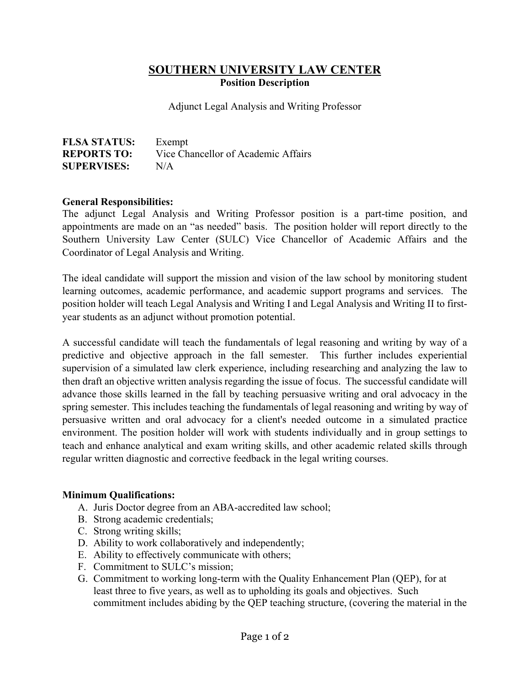# **SOUTHERN UNIVERSITY LAW CENTER Position Description**

Adjunct Legal Analysis and Writing Professor

| <b>FLSA STATUS:</b> | Exempt                              |
|---------------------|-------------------------------------|
| <b>REPORTS TO:</b>  | Vice Chancellor of Academic Affairs |
| <b>SUPERVISES:</b>  | N/A                                 |

#### **General Responsibilities:**

The adjunct Legal Analysis and Writing Professor position is a part-time position, and appointments are made on an "as needed" basis. The position holder will report directly to the Southern University Law Center (SULC) Vice Chancellor of Academic Affairs and the Coordinator of Legal Analysis and Writing.

The ideal candidate will support the mission and vision of the law school by monitoring student learning outcomes, academic performance, and academic support programs and services. The position holder will teach Legal Analysis and Writing I and Legal Analysis and Writing II to firstyear students as an adjunct without promotion potential.

A successful candidate will teach the fundamentals of legal reasoning and writing by way of a predictive and objective approach in the fall semester. This further includes experiential supervision of a simulated law clerk experience, including researching and analyzing the law to then draft an objective written analysis regarding the issue of focus. The successful candidate will advance those skills learned in the fall by teaching persuasive writing and oral advocacy in the spring semester. This includes teaching the fundamentals of legal reasoning and writing by way of persuasive written and oral advocacy for a client's needed outcome in a simulated practice environment. The position holder will work with students individually and in group settings to teach and enhance analytical and exam writing skills, and other academic related skills through regular written diagnostic and corrective feedback in the legal writing courses.

### **Minimum Qualifications:**

- A. Juris Doctor degree from an ABA-accredited law school;
- B. Strong academic credentials;
- C. Strong writing skills;
- D. Ability to work collaboratively and independently;
- E. Ability to effectively communicate with others;
- F. Commitment to SULC's mission;
- G. Commitment to working long-term with the Quality Enhancement Plan (QEP), for at least three to five years, as well as to upholding its goals and objectives. Such commitment includes abiding by the QEP teaching structure, (covering the material in the